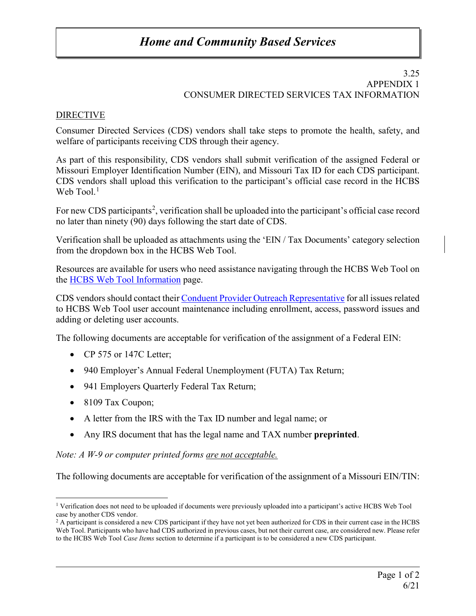# *Home and Community Based Services*

#### 3.25 APPENDIX 1 CONSUMER DIRECTED SERVICES TAX INFORMATION

## **DIRECTIVE**

Consumer Directed Services (CDS) vendors shall take steps to promote the health, safety, and welfare of participants receiving CDS through their agency.

As part of this responsibility, CDS vendors shall submit verification of the assigned Federal or Missouri Employer Identification Number (EIN), and Missouri Tax ID for each CDS participant. CDS vendors shall upload this verification to the participant's official case record in the HCBS Web  $\text{Tool.}^1$  $\text{Tool.}^1$ 

For new CDS participants<sup>[2](#page-0-1)</sup>, verification shall be uploaded into the participant's official case record no later than ninety (90) days following the start date of CDS.

Verification shall be uploaded as attachments using the 'EIN / Tax Documents' category selection from the dropdown box in the HCBS Web Tool.

Resources are available for users who need assistance navigating through the HCBS Web Tool on the [HCBS Web Tool Information](https://health.mo.gov/seniors/hcbs/webtool/index.php) page.

CDS vendors should contact thei[r Conduent Provider Outreach Representative](https://health.mo.gov/seniors/hcbs/pdf/POR.pdf) for all issues related to HCBS Web Tool user account maintenance including enrollment, access, password issues and adding or deleting user accounts.

The following documents are acceptable for verification of the assignment of a Federal EIN:

- CP 575 or 147C Letter;
- 940 Employer's Annual Federal Unemployment (FUTA) Tax Return;
- 941 Employers Quarterly Federal Tax Return;
- 8109 Tax Coupon;
- A letter from the IRS with the Tax ID number and legal name; or
- Any IRS document that has the legal name and TAX number **preprinted**.

### *Note: A W-9 or computer printed forms are not acceptable.*

The following documents are acceptable for verification of the assignment of a Missouri EIN/TIN:

<span id="page-0-0"></span><sup>&</sup>lt;sup>1</sup> Verification does not need to be uploaded if documents were previously uploaded into a participant's active HCBS Web Tool case by another CDS vendor.

<span id="page-0-1"></span><sup>&</sup>lt;sup>2</sup> A participant is considered a new CDS participant if they have not yet been authorized for CDS in their current case in the HCBS Web Tool. Participants who have had CDS authorized in previous cases, but not their current case, are considered new. Please refer to the HCBS Web Tool *Case Items* section to determine if a participant is to be considered a new CDS participant.